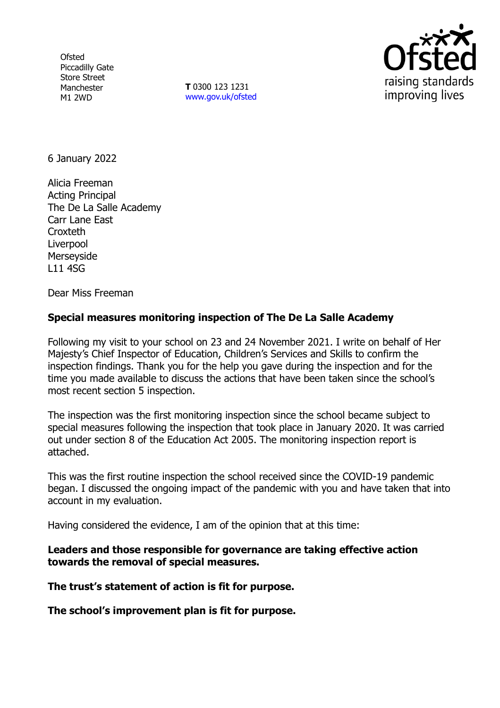**Ofsted** Piccadilly Gate Store Street Manchester M1 2WD

**T** 0300 123 1231 [www.gov.uk/ofsted](http://www.gov.uk/ofsted)



6 January 2022

Alicia Freeman Acting Principal The De La Salle Academy Carr Lane East Croxteth Liverpool Merseyside L11 4SG

Dear Miss Freeman

# **Special measures monitoring inspection of The De La Salle Academy**

Following my visit to your school on 23 and 24 November 2021. I write on behalf of Her Majesty's Chief Inspector of Education, Children's Services and Skills to confirm the inspection findings. Thank you for the help you gave during the inspection and for the time you made available to discuss the actions that have been taken since the school's most recent section 5 inspection.

The inspection was the first monitoring inspection since the school became subject to special measures following the inspection that took place in January 2020. It was carried out under section 8 of the Education Act 2005. The monitoring inspection report is attached.

This was the first routine inspection the school received since the COVID-19 pandemic began. I discussed the ongoing impact of the pandemic with you and have taken that into account in my evaluation.

Having considered the evidence, I am of the opinion that at this time:

**Leaders and those responsible for governance are taking effective action towards the removal of special measures.**

**The trust's statement of action is fit for purpose.**

**The school's improvement plan is fit for purpose.**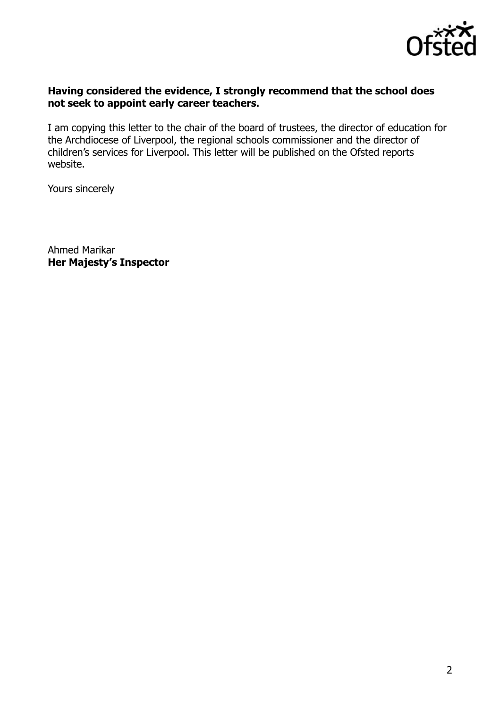

### **Having considered the evidence, I strongly recommend that the school does not seek to appoint early career teachers.**

I am copying this letter to the chair of the board of trustees, the director of education for the Archdiocese of Liverpool, the regional schools commissioner and the director of children's services for Liverpool. This letter will be published on the Ofsted reports website.

Yours sincerely

Ahmed Marikar **Her Majesty's Inspector**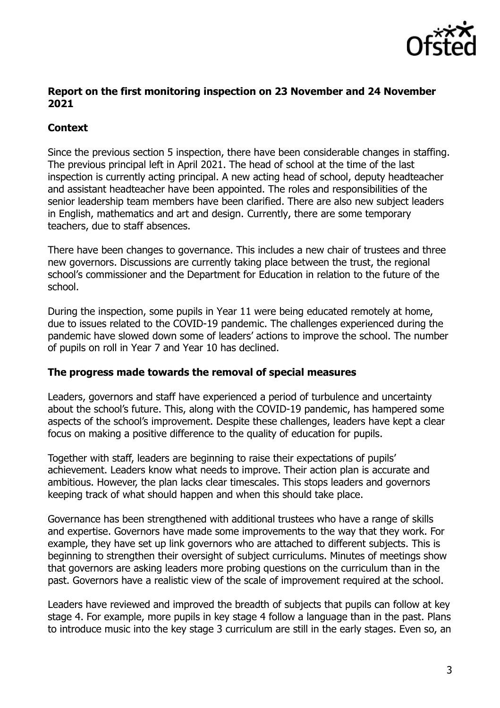

## **Report on the first monitoring inspection on 23 November and 24 November 2021**

# **Context**

Since the previous section 5 inspection, there have been considerable changes in staffing. The previous principal left in April 2021. The head of school at the time of the last inspection is currently acting principal. A new acting head of school, deputy headteacher and assistant headteacher have been appointed. The roles and responsibilities of the senior leadership team members have been clarified. There are also new subject leaders in English, mathematics and art and design. Currently, there are some temporary teachers, due to staff absences.

There have been changes to governance. This includes a new chair of trustees and three new governors. Discussions are currently taking place between the trust, the regional school's commissioner and the Department for Education in relation to the future of the school.

During the inspection, some pupils in Year 11 were being educated remotely at home, due to issues related to the COVID-19 pandemic. The challenges experienced during the pandemic have slowed down some of leaders' actions to improve the school. The number of pupils on roll in Year 7 and Year 10 has declined.

## **The progress made towards the removal of special measures**

Leaders, governors and staff have experienced a period of turbulence and uncertainty about the school's future. This, along with the COVID-19 pandemic, has hampered some aspects of the school's improvement. Despite these challenges, leaders have kept a clear focus on making a positive difference to the quality of education for pupils.

Together with staff, leaders are beginning to raise their expectations of pupils' achievement. Leaders know what needs to improve. Their action plan is accurate and ambitious. However, the plan lacks clear timescales. This stops leaders and governors keeping track of what should happen and when this should take place.

Governance has been strengthened with additional trustees who have a range of skills and expertise. Governors have made some improvements to the way that they work. For example, they have set up link governors who are attached to different subjects. This is beginning to strengthen their oversight of subject curriculums. Minutes of meetings show that governors are asking leaders more probing questions on the curriculum than in the past. Governors have a realistic view of the scale of improvement required at the school.

Leaders have reviewed and improved the breadth of subjects that pupils can follow at key stage 4. For example, more pupils in key stage 4 follow a language than in the past. Plans to introduce music into the key stage 3 curriculum are still in the early stages. Even so, an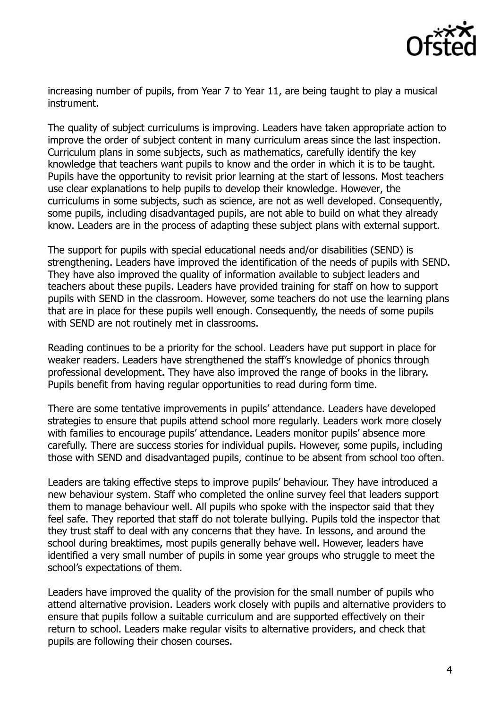

increasing number of pupils, from Year 7 to Year 11, are being taught to play a musical instrument.

The quality of subject curriculums is improving. Leaders have taken appropriate action to improve the order of subject content in many curriculum areas since the last inspection. Curriculum plans in some subjects, such as mathematics, carefully identify the key knowledge that teachers want pupils to know and the order in which it is to be taught. Pupils have the opportunity to revisit prior learning at the start of lessons. Most teachers use clear explanations to help pupils to develop their knowledge. However, the curriculums in some subjects, such as science, are not as well developed. Consequently, some pupils, including disadvantaged pupils, are not able to build on what they already know. Leaders are in the process of adapting these subject plans with external support.

The support for pupils with special educational needs and/or disabilities (SEND) is strengthening. Leaders have improved the identification of the needs of pupils with SEND. They have also improved the quality of information available to subject leaders and teachers about these pupils. Leaders have provided training for staff on how to support pupils with SEND in the classroom. However, some teachers do not use the learning plans that are in place for these pupils well enough. Consequently, the needs of some pupils with SEND are not routinely met in classrooms.

Reading continues to be a priority for the school. Leaders have put support in place for weaker readers. Leaders have strengthened the staff's knowledge of phonics through professional development. They have also improved the range of books in the library. Pupils benefit from having regular opportunities to read during form time.

There are some tentative improvements in pupils' attendance. Leaders have developed strategies to ensure that pupils attend school more regularly. Leaders work more closely with families to encourage pupils' attendance. Leaders monitor pupils' absence more carefully. There are success stories for individual pupils. However, some pupils, including those with SEND and disadvantaged pupils, continue to be absent from school too often.

Leaders are taking effective steps to improve pupils' behaviour. They have introduced a new behaviour system. Staff who completed the online survey feel that leaders support them to manage behaviour well. All pupils who spoke with the inspector said that they feel safe. They reported that staff do not tolerate bullying. Pupils told the inspector that they trust staff to deal with any concerns that they have. In lessons, and around the school during breaktimes, most pupils generally behave well. However, leaders have identified a very small number of pupils in some year groups who struggle to meet the school's expectations of them.

Leaders have improved the quality of the provision for the small number of pupils who attend alternative provision. Leaders work closely with pupils and alternative providers to ensure that pupils follow a suitable curriculum and are supported effectively on their return to school. Leaders make regular visits to alternative providers, and check that pupils are following their chosen courses.